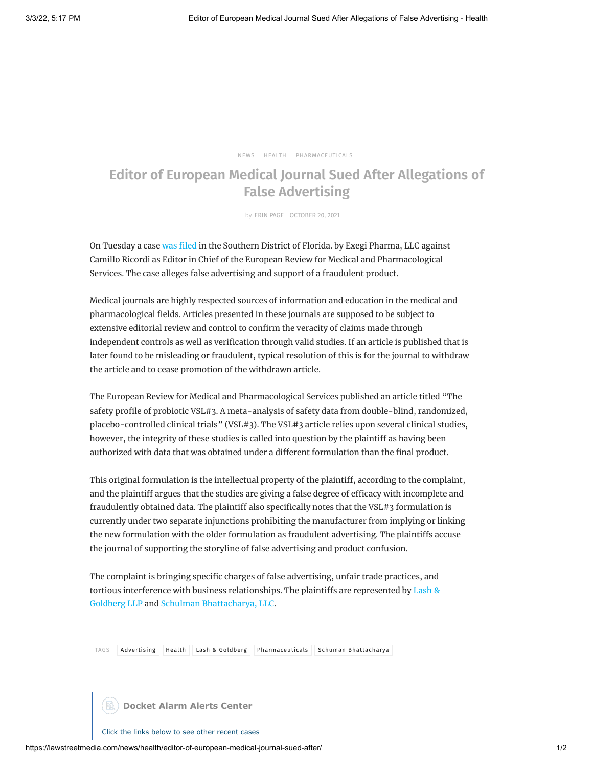[NEWS](https://lawstreetmedia.com/categories/news/) [HEALTH](https://lawstreetmedia.com/categories/news/health/) [PHARMACEUTICALS](https://lawstreetmedia.com/categories/news/health/pharmaceuticals/)

## **Editor of European Medical Journal Sued After Allegations of False Advertising**

by ERIN [PAGE](https://lawstreetmedia.com/author/erin-page/) OCTOBER 20, 2021

On Tuesday a case was [filed](https://www.docketalarm.com/cases/Florida_Southern_District_Court/1--21-cv-23688/ExeGi_Pharma_LLC_v._Ricordi/1/) in the Southern District of Florida. by Exegi Pharma, LLC against Camillo Ricordi as Editor in Chief of the European Review for Medical and Pharmacological Services. The case alleges false advertising and support of a fraudulent product.

Medical journals are highly respected sources of information and education in the medical and pharmacological fields. Articles presented in these journals are supposed to be subject to extensive editorial review and control to confirm the veracity of claims made through independent controls as well as verification through valid studies. If an article is published that is later found to be misleading or fraudulent, typical resolution of this is for the journal to withdraw the article and to cease promotion of the withdrawn article.

The European Review for Medical and Pharmacological Services published an article titled "The safety profile of probiotic VSL#3. A meta-analysis of safety data from double-blind, randomized, placebo-controlled clinical trials" (VSL#3). The VSL#3 article relies upon several clinical studies, however, the integrity of these studies is called into question by the plaintiff as having been authorized with data that was obtained under a different formulation than the final product.

This original formulation is the intellectual property of the plaintiff, according to the complaint, and the plaintiff argues that the studies are giving a false degree of efficacy with incomplete and fraudulently obtained data. The plaintiff also specifically notes that the VSL#3 formulation is currently under two separate injunctions prohibiting the manufacturer from implying or linking the new formulation with the older formulation as fraudulent advertising. The plaintiffs accuse the journal of supporting the storyline of false advertising and product confusion.

The complaint is bringing specific charges of false advertising, unfair trade practices, and tortious [interference with](https://www.lashgoldberg.com/) business relationships. The plaintiffs are represented by Lash & Goldberg LLP and Schulman [Bhattacharya,](https://schulmanbh.com/) LLC.

TAGS [Advertising](https://lawstreetmedia.com/tag/advertising/) [Health](https://lawstreetmedia.com/tag/health/) Lash & [Goldberg](https://lawstreetmedia.com/tag/lash-goldberg/) [Pharmaceuticals](https://lawstreetmedia.com/tag/pharmaceuticals/) Schuman [Bhattacharya](https://lawstreetmedia.com/tag/schuman-bhattacharya/)



Click the links below to see other recent cases